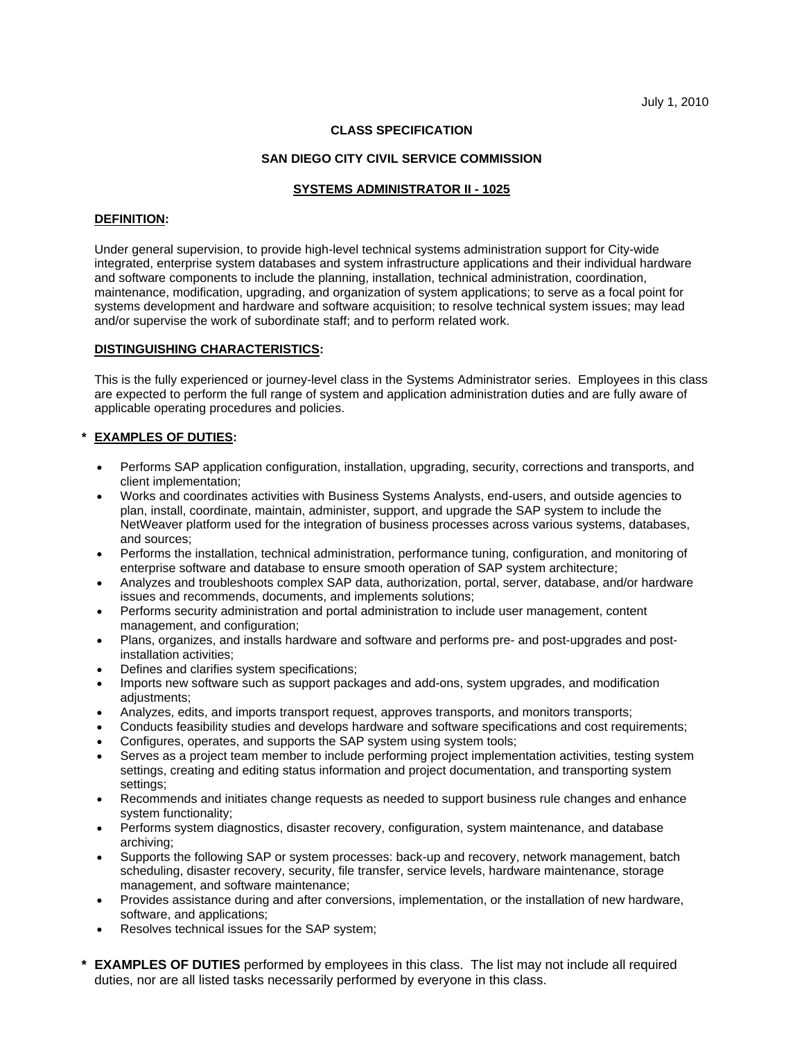## **CLASS SPECIFICATION**

### **SAN DIEGO CITY CIVIL SERVICE COMMISSION**

#### **SYSTEMS ADMINISTRATOR II - 1025**

#### **DEFINITION:**

Under general supervision, to provide high-level technical systems administration support for City-wide integrated, enterprise system databases and system infrastructure applications and their individual hardware and software components to include the planning, installation, technical administration, coordination, maintenance, modification, upgrading, and organization of system applications; to serve as a focal point for systems development and hardware and software acquisition; to resolve technical system issues; may lead and/or supervise the work of subordinate staff; and to perform related work.

### **DISTINGUISHING CHARACTERISTICS:**

This is the fully experienced or journey-level class in the Systems Administrator series. Employees in this class are expected to perform the full range of system and application administration duties and are fully aware of applicable operating procedures and policies.

## **\* EXAMPLES OF DUTIES:**

- Performs SAP application configuration, installation, upgrading, security, corrections and transports, and client implementation;
- Works and coordinates activities with Business Systems Analysts, end-users, and outside agencies to plan, install, coordinate, maintain, administer, support, and upgrade the SAP system to include the NetWeaver platform used for the integration of business processes across various systems, databases, and sources;
- Performs the installation, technical administration, performance tuning, configuration, and monitoring of enterprise software and database to ensure smooth operation of SAP system architecture;
- Analyzes and troubleshoots complex SAP data, authorization, portal, server, database, and/or hardware issues and recommends, documents, and implements solutions;
- Performs security administration and portal administration to include user management, content management, and configuration;
- Plans, organizes, and installs hardware and software and performs pre- and post-upgrades and postinstallation activities;
- Defines and clarifies system specifications:
- Imports new software such as support packages and add-ons, system upgrades, and modification adjustments;
- Analyzes, edits, and imports transport request, approves transports, and monitors transports;
- Conducts feasibility studies and develops hardware and software specifications and cost requirements;
- Configures, operates, and supports the SAP system using system tools;
- Serves as a project team member to include performing project implementation activities, testing system settings, creating and editing status information and project documentation, and transporting system settings;
- Recommends and initiates change requests as needed to support business rule changes and enhance system functionality;
- Performs system diagnostics, disaster recovery, configuration, system maintenance, and database archiving;
- Supports the following SAP or system processes: back-up and recovery, network management, batch scheduling, disaster recovery, security, file transfer, service levels, hardware maintenance, storage management, and software maintenance;
- Provides assistance during and after conversions, implementation, or the installation of new hardware, software, and applications;
- Resolves technical issues for the SAP system;
- **\* EXAMPLES OF DUTIES** performed by employees in this class. The list may not include all required duties, nor are all listed tasks necessarily performed by everyone in this class.